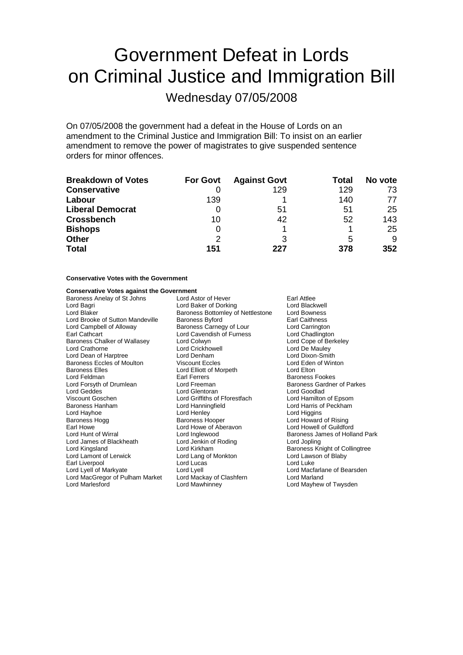# Government Defeat in Lords on Criminal Justice and Immigration Bill

Wednesday 07/05/2008

On 07/05/2008 the government had a defeat in the House of Lords on an amendment to the Criminal Justice and Immigration Bill: To insist on an earlier amendment to remove the power of magistrates to give suspended sentence orders for minor offences.

| <b>Breakdown of Votes</b> | <b>For Govt</b> | <b>Against Govt</b> | Total | No vote |
|---------------------------|-----------------|---------------------|-------|---------|
| <b>Conservative</b>       |                 | 129                 | 129   | 73      |
| Labour                    | 139             |                     | 140   | 77      |
| <b>Liberal Democrat</b>   |                 | 51                  | 51    | 25      |
| <b>Crossbench</b>         | 10              | 42                  | 52    | 143     |
| <b>Bishops</b>            | O               |                     |       | 25      |
| <b>Other</b>              | $\mathcal{P}$   | 3                   | 5     | 9       |
| <b>Total</b>              | 151             | 227                 | 378   | 352     |

### **Conservative Votes with the Government**

#### **Conservative Votes against the Government**

| Baroness Anelay of St Johns      | Lord Astor of Hever               | Earl Attlee                       |  |
|----------------------------------|-----------------------------------|-----------------------------------|--|
| Lord Bagri                       | Lord Baker of Dorking             | Lord Blackwell                    |  |
| Lord Blaker                      | Baroness Bottomley of Nettlestone | <b>Lord Bowness</b>               |  |
| Lord Brooke of Sutton Mandeville | Baroness Byford                   | Earl Caithness                    |  |
| Lord Campbell of Alloway         | Baroness Carnegy of Lour          | Lord Carrington                   |  |
| Earl Cathcart                    | Lord Cavendish of Furness         | Lord Chadlington                  |  |
| Baroness Chalker of Wallasey     | Lord Colwyn                       | Lord Cope of Berkeley             |  |
| Lord Crathorne                   | Lord Crickhowell                  | Lord De Mauley                    |  |
| Lord Dean of Harptree            | Lord Denham                       | Lord Dixon-Smith                  |  |
| Baroness Eccles of Moulton       | <b>Viscount Eccles</b>            | Lord Eden of Winton               |  |
| <b>Baroness Elles</b>            | Lord Elliott of Morpeth           | Lord Elton                        |  |
| Lord Feldman                     | <b>Earl Ferrers</b>               | Baroness Fookes                   |  |
| Lord Forsyth of Drumlean         | Lord Freeman                      | <b>Baroness Gardner of Parkes</b> |  |
| Lord Geddes                      | Lord Glentoran                    | Lord Goodlad                      |  |
| Viscount Goschen                 | Lord Griffiths of Fforestfach     | Lord Hamilton of Epsom            |  |
| Baroness Hanham                  | Lord Hanningfield                 | Lord Harris of Peckham            |  |
| Lord Hayhoe                      | Lord Henley                       | Lord Higgins                      |  |
| Baroness Hogg                    | <b>Baroness Hooper</b>            | Lord Howard of Rising             |  |
| Earl Howe                        | Lord Howe of Aberavon             | Lord Howell of Guildford          |  |
| Lord Hunt of Wirral              | Lord Inglewood                    | Baroness James of Holland Park    |  |
| Lord James of Blackheath         | Lord Jenkin of Roding             | Lord Jopling                      |  |
| Lord Kingsland                   | Lord Kirkham                      | Baroness Knight of Collingtree    |  |
| Lord Lamont of Lerwick           | Lord Lang of Monkton              | Lord Lawson of Blaby              |  |
| Earl Liverpool                   | Lord Lucas                        | Lord Luke                         |  |
| Lord Lyell of Markyate           | Lord Lyell                        | Lord Macfarlane of Bearsden       |  |
| Lord MacGregor of Pulham Market  | Lord Mackay of Clashfern          | Lord Marland                      |  |
| Lord Marlesford                  | Lord Mawhinnev                    | Lord Mayhew of Twysden            |  |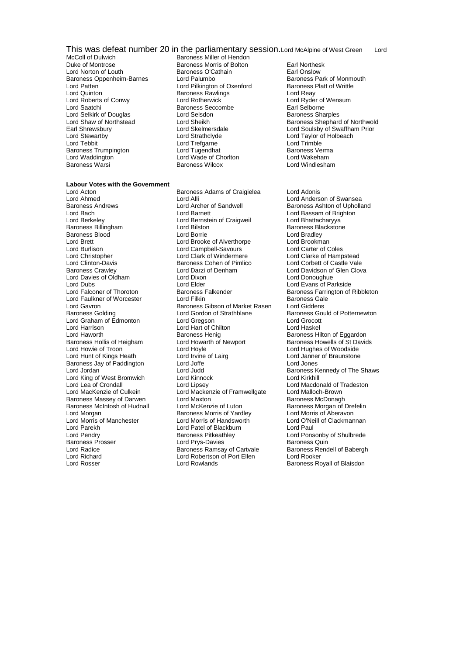## This was defeat number 20 in the parliamentary session.Lord McAlpine of West Green Lord<br>McColl of Dulwich **Baroness Miller of Hendon**

- McColl of Dulwich Baroness Miller of Hendon<br>
Duke of Montrose Baroness Morris of Bolton Lord Norton of Louth **Baroness O'Cathain**<br>
Baroness Oppenheim-Barnes Lord Palumbo<br>
Baroness Park of Monmouth Baroness Oppenheim-Barnes Lord Palumbo<br>
Lord Patten 
Lord Pilkington of Oxenford
Baroness Platt of Writtle Lord Quinton **Carolic Communist Communist Baroness Rawlings** Cord Reay<br>
Lord Roberts of Conwy **Lord Rotherwick** Cord Rotherwick Lord Roberts of Conwy **Lord Rotherwick** Lord Rotherwick Lord Ryder of Wensum<br>
Lord Saatchi **Conwy** Baroness Seccombe **Lord Real Selborne** Lord Selkirk of Douglas Lord Tebbit Lord Trefgarne Lord Trefgarne Lord Trimble<br>
Baroness Trumpington Lord Tugendhat Corpus Baroness Verma Baroness Trumpington **Example 2** Lord Tugendhat **Baroness Verman Baroness Verman Baroness Verman Baroness Verman Lord Wakeham** Baroness Warsi
	- Baroness Morris of Bolton Earl Northesk<br>Baroness O'Cathain Earl Onslow Lord Pilkington of Oxenford Baroness Seccombe<br>Lord Selsdon Baroness Sharples Lord Wade of Chorlton Lord Wakeham<br>Baroness Wilcox Lord Windlesham

Lord Acton Baroness Adams of Craigielea Lord Adonis Lord Ahmed **Lord Anderson of Swansea**<br>Baroness Andrews **Connect Anderson Connect Anderson Connect Anderson of Upholla**<br>Baroness Ashton of Upholla Lord Archer of Sandwell Baroness Ashton of Upholland<br>
Lord Barnett Baroness Ashton of Brighton Lord Bach Lord Barnett Lord Bassam of Brighton<br>
Lord Berkeley Cord Bernstein of Craigweil Lord Bhattacharvya Baroness Blood **Exercise Secure Lord Borrie** Lord Borrie Cord Bradley<br>
Lord Brett Lord Brooke of Alverthorpe Lord Brookman Lord Brett Lord Brooke of Alverthorpe Lord Brookman Lord Christopher Lord Clark of Windermere Lord Clarke of Hampstead Lord Clinton-Davis **Example 2** Baroness Cohen of Pimlico **Lord Corbett of Castle Vale**<br>Baroness Crawley **Baroness Container Corporation** Lord Davidson of Glen Clov Lord Darzi of Denham Lord Davidson of Glen Clova<br>
Lord Dixon<br>
Lord Donoughue Lord Elder Lord Evans of Parkside<br>Baroness Falkender Lord Evans of Parkside<br>Baroness Farrington of Lord Falconer of Thoroton **Baroness Falkender** Baroness Farrington of Ribbleton Lord Faulkner of Worcester Lord Filkin **Baroness Cale** Lord Faulkner of Worcester Lord Filkin Lord Filkin Baroness Gale<br>Lord Gavron Lord Giddens Baroness Gibson of Market Rasen Lord Giddens Lord Gavron **Baroness Gibson of Market Rasen**<br>
Baroness Golding **Baroness Colding**<br>
Lord Gordon of Strathblane Lord Graham of Edmonton Lord Gregson Lord Grocott Lord Haworth<br>Lord Haworth **Baroness Henig Baroness Henig Baroness Hilton of Eggardon**<br>Baroness Hollis of Heigham **Baroness Howells of St David** Baroness Hollis of Heigham Lord Howarth of Newport Baroness Howells of St Davids<br>
Lord Howie of Troon Lord Hoyle Cord Hovels and Lord Hughes of Woodside Lord Hoyle<br>
Lord Irvine of Lairg<br>
Lord Janner of Braunstone Lord Hunt of Kings Heath Lord Irvine of Lairg Lord Janne<br>
Raroness Jay of Paddington Lord Joffe Lairg Lord Jones Lord Jordan **Lord Lord Judd** Exercise Corporation Baroness Kennedy of The Shaws<br>
Lord King of West Bromwich **Baroness Corporation** Lord Kinnock **Lord King Lord King Article** Lord Lea of Crondall **Lord Lord Lipsey** Lord Macdonald of Tradeston<br>
Lord MacKenzie of Culkein **Lord Mackenzie of Framwellgate** Lord Malloch-Brown Lord Mackenzie of Framwellgate Baroness Massey of Darwen Lord Maxton<br>
Baroness McIntosh of Hudnall Lord McKenzie of Luton Baroness Morgan of Drefelin Baroness McIntosh of Hudnall Lord McKenzie of Luton Baroness Morgan of Dre<br>
Lord Morgan Corporation Baroness Morris of Yardley Lord Morris of Aberavon Lord Morgan **Baroness Morris of Yardley** Lord Morris of Aberavon<br>
Lord Morris of Manchester Lord Morris of Handsworth Lord O'Neill of Clackmannan Lord Morris of Manchester Lord Morris of Handsworth Lord O'Ne<br>
Lord Patel of Blackburn Lord Paul<br>
Lord Patel of Blackburn Baroness Pitkeathley **Baroness Pitkeathley** Lord Ponsonby of Shulbrede<br>
Lord Prvs-Davies **Consoling Baroness** Quin Baroness Prosser **Exercise Server Lord Prys-Davies** Cartyale Baroness Quin<br>
Lord Radice **Consumers Baroness Ramsay of Cartyale** Baroness Rendell of Babergh Lord Radice **Baroness Ramsay of Cartvale** Baroness Rendell Baroness Rendell of Baroness Rendell of Baroness Rendell of Baroness Rendell of Baroness Rendell of Baroness Rendell Cord Rooker

Lord Shaw of Northstead **Lord Sheikh Baroness Shephard of Northwold**<br>
Earl Shrewsbury **Baroness Shephard of Northwold**<br>
Lord Shephard of Swaffham Prior Earl Shrewsbury **Earl Shrewsbury** Lord Skelmersdale **Lord Soulsby of Swaffham Prior**<br>
Lord Stewartby **Lord Strathclyde** Lord Taylor of Holbeach Lord Taylor of Holbeach<br>Lord Trimble

> Baroness Blackstone<br>Lord Bradlev Baroness Gould of Potternewton Baroness Royall of Blaisdon

### **Labour Votes with the Government**<br>Lord Acton

Lord Berkeley **Lord Bernstein of Craigweil**<br>
Baroness Billingham **Cornel Battachary Cornel Bilston** Lord Burlison **Lord Campbell-Savours**<br>
Lord Christopher **Lord Clark of Windermere** Lord Davies of Oldham Lord Dixon<br>
Lord Dubs<br>
Lord Elder Lord Harrison Lord Hart of Chilton Lord Hart of Chilton Lord Hart of Chilton Lord Hart of Chilton Lord Hart of Chilton Lord Hart of Chilton Lord Hart of Chilton Lord Hart of Chilton Lord Hart of Chilton Lord Hart of Chilto Baroness Jay of Paddington Lord King of West Bromwich Lord Kinnoc<br>
Lord Lea of Crondall Cord Lipsey Lord Parekh Lord Patel of Blackburn<br>
Lord Pendry Corporation Care Baroness Pitkeathley Lord Richard Lord Robertson of Port Ellen Lord Rooker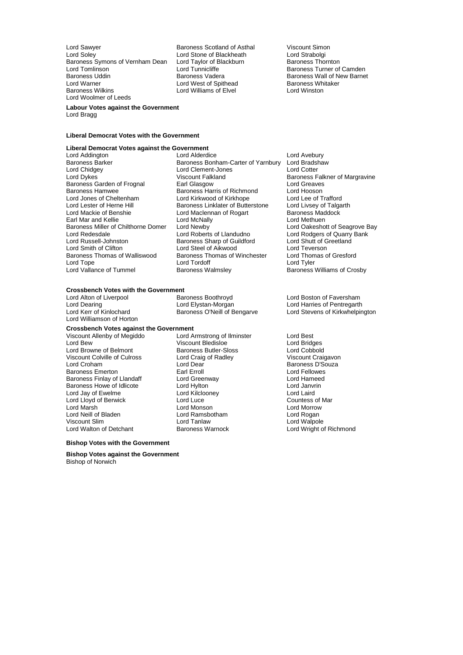Lord Sawyer **Baroness Scotland of Asthal Simon**<br>
Lord Soley **Baroness Scotland of Asthal Cord Strabolgi**<br>
Lord Strabolgi Baroness Symons of Vernham Dean Lord Tomlinson **Lord Tunnicliffe** Exercise Baroness Turner of Camden<br>Baroness Uddin **Baroness Turner of Cambridge Baroness Turner of Camden**<br>Baroness Wall of New Barne Baroness Uddin **Baroness Vadera** Baroness Wall of New Barnet<br>Baroness Whitaker Barnet Baroness Whitaker<br>Baroness Whitaker Lord Warner Lord West of Spithead Baroness Whitakers Lord Williams of Elvel Baroness Whitakers Cord Williams of Elvel Lord Winston Lord Woolmer of Leeds

Lord Stone of Blackheath Lord Strabolgi<br>
Lord Taylor of Blackburn Baroness Thornton Lord Williams of Elvel

#### **Labour Votes against the Government** Lord Bragg

#### **Liberal Democrat Votes with the Government**

**Liberal Democrat Votes against the Government** Lord Chidgey **Lord Clement-Jones**<br>
Lord Dykes **Lord Contemporal** Viscount Falkland Lord Tope **Lord Tordoff**<br>
Lord Vallance of Tummel **Lord Baroness W** 

Lord Addington **Lord Alderdice** Lord Alderdice Lord Anderdice Lord Avebury<br>Baroness Barker **Baroness Bonham-Carter of Yarnbury** Lord Bradshaw Baroness Barker Baroness Bonham-Carter of Yarnbury Lord Bradshaw<br>Lord Chidgey Lord Clement-Jones Lord Clotter Viscount Falkland Baroness Falkner of Margravine<br>
Earl Glasgow<br>
Lord Greaves Baroness Garden of Frognal Earl Glasgow Earl Greaves<br>Baroness Hamwee Baroness Harris of Richmond Lord Hooson Baroness Harris of Richmond Lord Jones of Cheltenham Lord Kirkwood of Kirkhope Lord Lee of Trafford Lord Lester of Herne Hill Baroness Linklater of Butterstone Lord Livsey of Talgarth Lord Mackie of Benshie<br>Lord Mackie of Benshie Lord Maclennan of Rogart Baroness Maddock Lord Maclennan of Rogart<br>Lord McNally Earl Mar and Kellie Lord Lord McNally Lord Carl Mar Lord Methuen<br>
Baroness Miller of Chilthorne Domer Lord Newby Lord Cakesho Baroness Miller of Chilthorne Domer Lord Newby<br>
Lord Cond Redesdale Cord Roberts of Llandudno Lord Rodgers of Quarry Bank Lord Redesdale **Lord Roberts of Llandudno**<br>
Lord Rodgers of Quarry Bank<br>
Lord Russell-Johnston **Baroness Sharp of Guildford** Lord Shutt of Greetland Baroness Sharp of Guildford Lord Smith of Clifton Lord Steel of Aikwood Lord Teverson Baroness Thomas of Walliswood Baroness Thomas of Winchester Lord Thom<br>Lord Tord Tordoff Cord The Lord Tuler Baroness Walmsley **Baroness Williams of Crosby** 

### **Crossbench Votes with the Government**

Lord Williamson of Horton

Lord Alton of Liverpool **Baroness Boothroyd** Lord Boston of Faversham<br>
Lord Dearing Lord Boston Cord Elystan-Morgan Lord Harries of Pentregarth Lord Dearing<br>
Lord Dearing Lord Elystan-Morgan Lord Harries of Pentregarth<br>
Lord Kerr of Kinlochard Baroness O'Neill of Bengarve Lord Stevens of Kirkwhelpin

# **Crossbench Votes against the Government**<br>Viscount Allenby of Megiddo<br>Lord Armstrong of Ilminster

Lord Bew **Calculary Communist Communist Communist Communist Communist Communist Communist Communist Communist Communist Communist Communist Communist Communist Communist Communist Communist Communist Communist Communist Co** Lord Browne of Belmont Baroness Butler-Sloss Lord Cobbold<br>
Viscount Colville of Culross Lord Craig of Radley Suscount Craigavon Viscount Colville of Culross Lord Craig<br>
Lord Croham Colville Culross Lord Dear Baroness Emerton Earl Erroll Lord Fellowes Baroness Finlay of Llandaff Lord Greenway Lord Hames Lord Hameed Lord Hameed Baroness Howe of Idlicote Lord Hylton Baroness Howe of Idlicote Lord Hylton Cord Hylton Lord January Cord January Lord January Lord January Lord Laird<br>
Lord Jay of Ewelme Lord Laird Lord Kilclooney Lord Laird Lord Laird Lord Jay of Ewelme Lord Kilclooney Lord Laird Lord Lloyd of Berwick Lord Luce Countess of I<br>
Lord Marsh Gountess of Lord Monson<br>
Lord Marsh Gountess of Lord Monson Lord Neill of Bladen Lord Ramsbotham Lord Rogan Viscount Slim<br>
Lord Walton of Detchant<br>
Lord Walton of Detchant<br>
Communist Baroness Warnock

Viscount Allenby of Megiddo Lord Armstrong of Ilminster Lord Best Lord Dear **Croham Lord Dear Baroness D'Souza**<br>Earl Erroll Croham Lord Fellowes Lord Monson Lord Morrow<br>
Lord Ramsbotham Lord Rogan<br>
Lord Rogan

**Bishop Votes with the Government**

**Bishop Votes against the Government** Bishop of Norwich

Lord Stevens of Kirkwhelpington

Lord Wright of Richmond